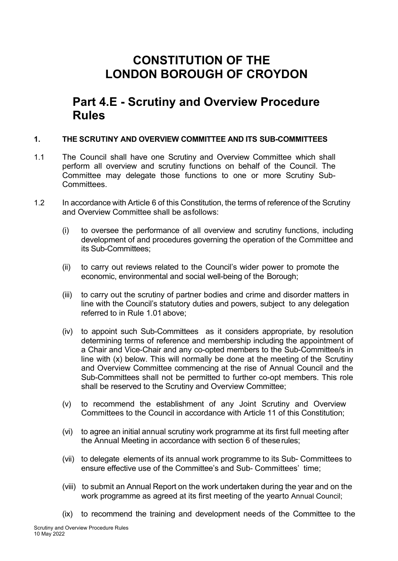# **CONSTITUTION OF THE LONDON BOROUGH OF CROYDON**

# **Part 4.E - Scrutiny and Overview Procedure Rules**

#### **1. THE SCRUTINY AND OVERVIEW COMMITTEE AND ITS SUB-COMMITTEES**

- 1.1 The Council shall have one Scrutiny and Overview Committee which shall perform all overview and scrutiny functions on behalf of the Council. The Committee may delegate those functions to one or more Scrutiny Sub-Committees.
- 1.2 In accordance with Article 6 of this Constitution, the terms of reference of the Scrutiny and Overview Committee shall be asfollows:
	- (i) to oversee the performance of all overview and scrutiny functions, including development of and procedures governing the operation of the Committee and its Sub-Committees;
	- (ii) to carry out reviews related to the Council's wider power to promote the economic, environmental and social well-being of the Borough;
	- (iii) to carry out the scrutiny of partner bodies and crime and disorder matters in line with the Council's statutory duties and powers, subject to any delegation referred to in Rule 1.01 above;
	- (iv) to appoint such Sub-Committees as it considers appropriate, by resolution determining terms of reference and membership including the appointment of a Chair and Vice-Chair and any co-opted members to the Sub-Committee/s in line with (x) below. This will normally be done at the meeting of the Scrutiny and Overview Committee commencing at the rise of Annual Council and the Sub-Committees shall not be permitted to further co-opt members. This role shall be reserved to the Scrutiny and Overview Committee;
	- (v) to recommend the establishment of any Joint Scrutiny and Overview Committees to the Council in accordance with Article 11 of this Constitution;
	- (vi) to agree an initial annual scrutiny work programme at its first full meeting after the Annual Meeting in accordance with section 6 of theserules;
	- (vii) to delegate elements of its annual work programme to its Sub- Committees to ensure effective use of the Committee's and Sub- Committees' time;
	- (viii) to submit an Annual Report on the work undertaken during the year and on the work programme as agreed at its first meeting of the yearto Annual Council;
	- (ix) to recommend the training and development needs of the Committee to the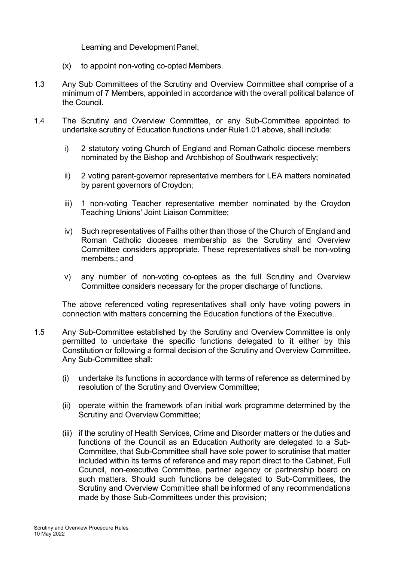Learning and Development Panel;

- (x) to appoint non-voting co-opted Members.
- 1.3 Any Sub Committees of the Scrutiny and Overview Committee shall comprise of a minimum of 7 Members, appointed in accordance with the overall political balance of the Council.
- 1.4 The Scrutiny and Overview Committee, or any Sub-Committee appointed to undertake scrutiny of Education functions under Rule1.01 above, shall include:
	- i) 2 statutory voting Church of England and Roman Catholic diocese members nominated by the Bishop and Archbishop of Southwark respectively;
	- ii) 2 voting parent-governor representative members for LEA matters nominated by parent governors of Croydon;
	- iii) 1 non-voting Teacher representative member nominated by the Croydon Teaching Unions' Joint Liaison Committee;
	- iv) Such representatives of Faiths other than those of the Church of England and Roman Catholic dioceses membership as the Scrutiny and Overview Committee considers appropriate. These representatives shall be non-voting members.; and
	- v) any number of non-voting co-optees as the full Scrutiny and Overview Committee considers necessary for the proper discharge of functions.

The above referenced voting representatives shall only have voting powers in connection with matters concerning the Education functions of the Executive..

- 1.5 Any Sub-Committee established by the Scrutiny and Overview Committee is only permitted to undertake the specific functions delegated to it either by this Constitution or following a formal decision of the Scrutiny and Overview Committee. Any Sub-Committee shall:
	- (i) undertake its functions in accordance with terms of reference as determined by resolution of the Scrutiny and Overview Committee;
	- (ii) operate within the framework of an initial work programme determined by the Scrutiny and Overview Committee;
	- (iii) if the scrutiny of Health Services, Crime and Disorder matters or the duties and functions of the Council as an Education Authority are delegated to a Sub-Committee, that Sub-Committee shall have sole power to scrutinise that matter included within its terms of reference and may report direct to the Cabinet, Full Council, non-executive Committee, partner agency or partnership board on such matters. Should such functions be delegated to Sub-Committees, the Scrutiny and Overview Committee shall beinformed of any recommendations made by those Sub-Committees under this provision;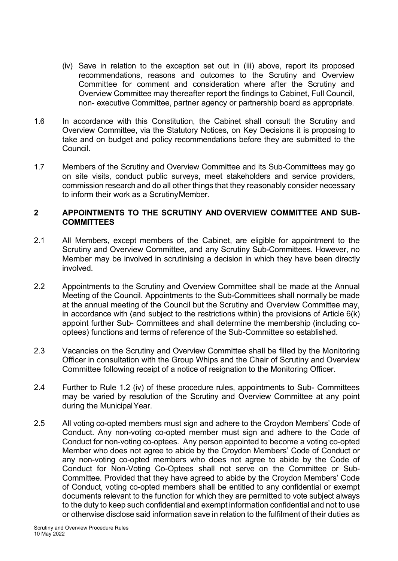- (iv) Save in relation to the exception set out in (iii) above, report its proposed recommendations, reasons and outcomes to the Scrutiny and Overview Committee for comment and consideration where after the Scrutiny and Overview Committee may thereafter report the findings to Cabinet, Full Council, non- executive Committee, partner agency or partnership board as appropriate.
- 1.6 In accordance with this Constitution, the Cabinet shall consult the Scrutiny and Overview Committee, via the Statutory Notices, on Key Decisions it is proposing to take and on budget and policy recommendations before they are submitted to the Council.
- 1.7 Members of the Scrutiny and Overview Committee and its Sub-Committees may go on site visits, conduct public surveys, meet stakeholders and service providers, commission research and do all other things that they reasonably consider necessary to inform their work as a ScrutinyMember.

#### **2 APPOINTMENTS TO THE SCRUTINY AND OVERVIEW COMMITTEE AND SUB-COMMITTEES**

- 2.1 All Members, except members of the Cabinet, are eligible for appointment to the Scrutiny and Overview Committee, and any Scrutiny Sub-Committees. However, no Member may be involved in scrutinising a decision in which they have been directly involved.
- 2.2 Appointments to the Scrutiny and Overview Committee shall be made at the Annual Meeting of the Council. Appointments to the Sub-Committees shall normally be made at the annual meeting of the Council but the Scrutiny and Overview Committee may, in accordance with (and subject to the restrictions within) the provisions of Article 6(k) appoint further Sub- Committees and shall determine the membership (including cooptees) functions and terms of reference of the Sub-Committee so established.
- 2.3 Vacancies on the Scrutiny and Overview Committee shall be filled by the Monitoring Officer in consultation with the Group Whips and the Chair of Scrutiny and Overview Committee following receipt of a notice of resignation to the Monitoring Officer.
- 2.4 Further to Rule 1.2 (iv) of these procedure rules, appointments to Sub- Committees may be varied by resolution of the Scrutiny and Overview Committee at any point during the MunicipalYear.
- 2.5 All voting co-opted members must sign and adhere to the Croydon Members' Code of Conduct. Any non-voting co-opted member must sign and adhere to the Code of Conduct for non-voting co-optees. Any person appointed to become a voting co-opted Member who does not agree to abide by the Croydon Members' Code of Conduct or any non-voting co-opted members who does not agree to abide by the Code of Conduct for Non-Voting Co-Optees shall not serve on the Committee or Sub-Committee. Provided that they have agreed to abide by the Croydon Members' Code of Conduct, voting co-opted members shall be entitled to any confidential or exempt documents relevant to the function for which they are permitted to vote subject always to the duty to keep such confidential and exempt information confidential and not to use or otherwise disclose said information save in relation to the fulfilment of their duties as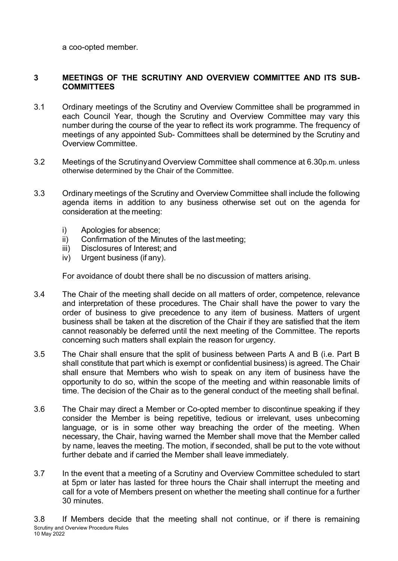a coo-opted member.

## **3 MEETINGS OF THE SCRUTINY AND OVERVIEW COMMITTEE AND ITS SUB-COMMITTEES**

- 3.1 Ordinary meetings of the Scrutiny and Overview Committee shall be programmed in each Council Year, though the Scrutiny and Overview Committee may vary this number during the course of the year to reflect its work programme. The frequency of meetings of any appointed Sub- Committees shall be determined by the Scrutiny and Overview Committee.
- 3.2 Meetings of the Scrutinyand Overview Committee shall commence at 6.30p.m. unless otherwise determined by the Chair of the Committee.
- 3.3 Ordinary meetings of the Scrutiny and Overview Committee shall include the following agenda items in addition to any business otherwise set out on the agenda for consideration at the meeting:
	- i) Apologies for absence;
	- ii) Confirmation of the Minutes of the last meeting;
	- iii) Disclosures of Interest; and
	- iv) Urgent business (if any).

For avoidance of doubt there shall be no discussion of matters arising.

- 3.4 The Chair of the meeting shall decide on all matters of order, competence, relevance and interpretation of these procedures. The Chair shall have the power to vary the order of business to give precedence to any item of business. Matters of urgent business shall be taken at the discretion of the Chair if they are satisfied that the item cannot reasonably be deferred until the next meeting of the Committee. The reports concerning such matters shall explain the reason for urgency.
- 3.5 The Chair shall ensure that the split of business between Parts A and B (i.e. Part B shall constitute that part which is exempt or confidential business) is agreed. The Chair shall ensure that Members who wish to speak on any item of business have the opportunity to do so, within the scope of the meeting and within reasonable limits of time. The decision of the Chair as to the general conduct of the meeting shall befinal.
- 3.6 The Chair may direct a Member or Co-opted member to discontinue speaking if they consider the Member is being repetitive, tedious or irrelevant, uses unbecoming language, or is in some other way breaching the order of the meeting. When necessary, the Chair, having warned the Member shall move that the Member called by name, leaves the meeting. The motion, if seconded, shall be put to the vote without further debate and if carried the Member shall leave immediately.
- 3.7 In the event that a meeting of a Scrutiny and Overview Committee scheduled to start at 5pm or later has lasted for three hours the Chair shall interrupt the meeting and call for a vote of Members present on whether the meeting shall continue for a further 30 minutes.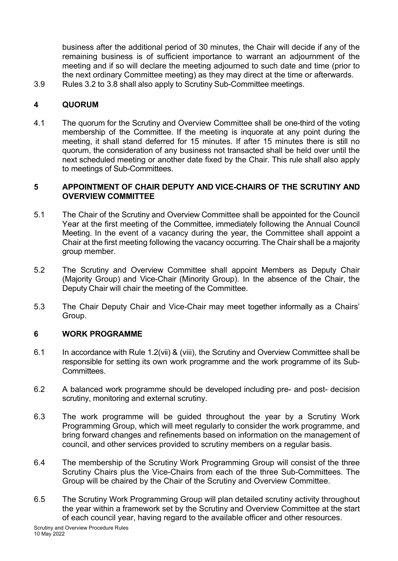business after the additional period of 30 minutes, the Chair will decide if any of the remaining business is of sufficient importance to warrant an adjournment of the meeting and if so will declare the meeting adjourned to such date and time (prior to the next ordinary Committee meeting) as they may direct at the time or afterwards.

3.9 Rules 3.2 to 3.8 shall also apply to Scrutiny Sub-Committee meetings.

## **4 QUORUM**

4.1 The quorum for the Scrutiny and Overview Committee shall be one-third of the voting membership of the Committee. If the meeting is inquorate at any point during the meeting, it shall stand deferred for 15 minutes. If after 15 minutes there is still no quorum, the consideration of any business not transacted shall be held over until the next scheduled meeting or another date fixed by the Chair. This rule shall also apply to meetings of Sub-Committees.

#### **5 APPOINTMENT OF CHAIR DEPUTY AND VICE-CHAIRS OF THE SCRUTINY AND OVERVIEW COMMITTEE**

- 5.1 The Chair of the Scrutiny and Overview Committee shall be appointed for the Council Year at the first meeting of the Committee, immediately following the Annual Council Meeting. In the event of a vacancy during the year, the Committee shall appoint a Chair at the first meeting following the vacancy occurring. The Chair shall be a majority group member.
- 5.2 The Scrutiny and Overview Committee shall appoint Members as Deputy Chair (Majority Group) and Vice-Chair (Minority Group). In the absence of the Chair, the Deputy Chair will chair the meeting of the Committee.
- 5.3 The Chair Deputy Chair and Vice-Chair may meet together informally as a Chairs' Group.

## **6 WORK PROGRAMME**

- 6.1 In accordance with Rule 1.2(vii) & (viii), the Scrutiny and Overview Committee shall be responsible for setting its own work programme and the work programme of its Sub-Committees.
- 6.2 A balanced work programme should be developed including pre- and post- decision scrutiny, monitoring and external scrutiny.
- 6.3 The work programme will be guided throughout the year by a Scrutiny Work Programming Group, which will meet regularly to consider the work programme, and bring forward changes and refinements based on information on the management of council, and other services provided to scrutiny members on a regular basis.
- 6.4 The membership of the Scrutiny Work Programming Group will consist of the three Scrutiny Chairs plus the Vice-Chairs from each of the three Sub-Committees. The Group will be chaired by the Chair of the Scrutiny and Overview Committee.
- 6.5 The Scrutiny Work Programming Group will plan detailed scrutiny activity throughout the year within a framework set by the Scrutiny and Overview Committee at the start of each council year, having regard to the available officer and other resources.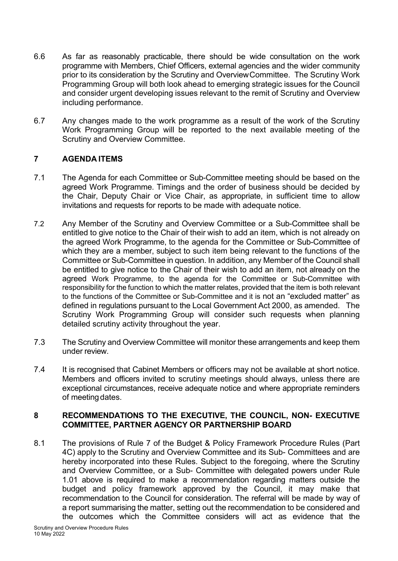- 6.6 As far as reasonably practicable, there should be wide consultation on the work programme with Members, Chief Officers, external agencies and the wider community prior to its consideration by the Scrutiny and OverviewCommittee. The Scrutiny Work Programming Group will both look ahead to emerging strategic issues for the Council and consider urgent developing issues relevant to the remit of Scrutiny and Overview including performance.
- 6.7 Any changes made to the work programme as a result of the work of the Scrutiny Work Programming Group will be reported to the next available meeting of the Scrutiny and Overview Committee.

## **7 AGENDA ITEMS**

- 7.1 The Agenda for each Committee or Sub-Committee meeting should be based on the agreed Work Programme. Timings and the order of business should be decided by the Chair, Deputy Chair or Vice Chair, as appropriate, in sufficient time to allow invitations and requests for reports to be made with adequate notice.
- 7.2 Any Member of the Scrutiny and Overview Committee or a Sub-Committee shall be entitled to give notice to the Chair of their wish to add an item, which is not already on the agreed Work Programme, to the agenda for the Committee or Sub-Committee of which they are a member, subject to such item being relevant to the functions of the Committee or Sub-Committee in question. In addition, any Member of the Council shall be entitled to give notice to the Chair of their wish to add an item, not already on the agreed Work Programme, to the agenda for the Committee or Sub-Committee with responsibility for the function to which the matter relates, provided that the item is both relevant to the functions of the Committee or Sub-Committee and it is not an "excluded matter" as defined in regulations pursuant to the Local Government Act 2000, as amended. The Scrutiny Work Programming Group will consider such requests when planning detailed scrutiny activity throughout the year.
- 7.3 The Scrutiny and Overview Committee will monitor these arrangements and keep them under review.
- 7.4 It is recognised that Cabinet Members or officers may not be available at short notice. Members and officers invited to scrutiny meetings should always, unless there are exceptional circumstances, receive adequate notice and where appropriate reminders of meeting dates.

#### **8 RECOMMENDATIONS TO THE EXECUTIVE, THE COUNCIL, NON- EXECUTIVE COMMITTEE, PARTNER AGENCY OR PARTNERSHIP BOARD**

8.1 The provisions of Rule 7 of the Budget & Policy Framework Procedure Rules (Part 4C) apply to the Scrutiny and Overview Committee and its Sub- Committees and are hereby incorporated into these Rules. Subject to the foregoing, where the Scrutiny and Overview Committee, or a Sub- Committee with delegated powers under Rule 1.01 above is required to make a recommendation regarding matters outside the budget and policy framework approved by the Council, it may make that recommendation to the Council for consideration. The referral will be made by way of a report summarising the matter, setting out the recommendation to be considered and the outcomes which the Committee considers will act as evidence that the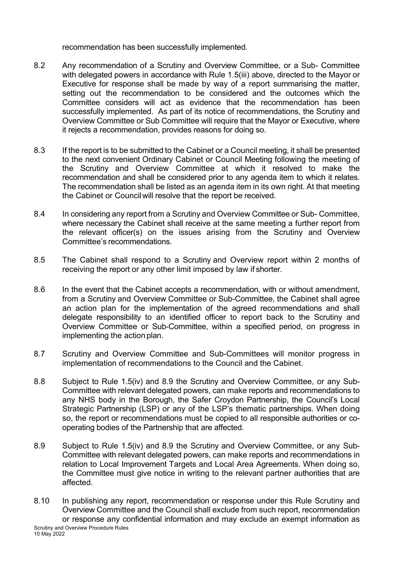recommendation has been successfully implemented.

- 8.2 Any recommendation of a Scrutiny and Overview Committee, or a Sub- Committee with delegated powers in accordance with Rule 1.5(iii) above, directed to the Mayor or Executive for response shall be made by way of a report summarising the matter, setting out the recommendation to be considered and the outcomes which the Committee considers will act as evidence that the recommendation has been successfully implemented. As part of its notice of recommendations, the Scrutiny and Overview Committee or Sub Committee will require that the Mayor or Executive, where it rejects a recommendation, provides reasons for doing so.
- 8.3 If the report is to be submitted to the Cabinet or a Council meeting, it shall be presented to the next convenient Ordinary Cabinet or Council Meeting following the meeting of the Scrutiny and Overview Committee at which it resolved to make the recommendation and shall be considered prior to any agenda item to which it relates. The recommendation shall be listed as an agenda item in its own right. At that meeting the Cabinet or Councilwill resolve that the report be received.
- 8.4 In considering any report from a Scrutiny and Overview Committee or Sub- Committee, where necessary the Cabinet shall receive at the same meeting a further report from the relevant officer(s) on the issues arising from the Scrutiny and Overview Committee's recommendations.
- 8.5 The Cabinet shall respond to a Scrutiny and Overview report within 2 months of receiving the report or any other limit imposed by law if shorter.
- 8.6 In the event that the Cabinet accepts a recommendation, with or without amendment, from a Scrutiny and Overview Committee or Sub-Committee, the Cabinet shall agree an action plan for the implementation of the agreed recommendations and shall delegate responsibility to an identified officer to report back to the Scrutiny and Overview Committee or Sub-Committee, within a specified period, on progress in implementing the action plan.
- 8.7 Scrutiny and Overview Committee and Sub-Committees will monitor progress in implementation of recommendations to the Council and the Cabinet.
- 8.8 Subject to Rule 1.5(iv) and 8.9 the Scrutiny and Overview Committee, or any Sub-Committee with relevant delegated powers, can make reports and recommendations to any NHS body in the Borough, the Safer Croydon Partnership, the Council's Local Strategic Partnership (LSP) or any of the LSP's thematic partnerships. When doing so, the report or recommendations must be copied to all responsible authorities or cooperating bodies of the Partnership that are affected.
- 8.9 Subject to Rule 1.5(iv) and 8.9 the Scrutiny and Overview Committee, or any Sub-Committee with relevant delegated powers, can make reports and recommendations in relation to Local Improvement Targets and Local Area Agreements. When doing so, the Committee must give notice in writing to the relevant partner authorities that are affected.
- Scrutiny and Overview Procedure Rules 10 May 2022 8.10 In publishing any report, recommendation or response under this Rule Scrutiny and Overview Committee and the Council shall exclude from such report, recommendation or response any confidential information and may exclude an exempt information as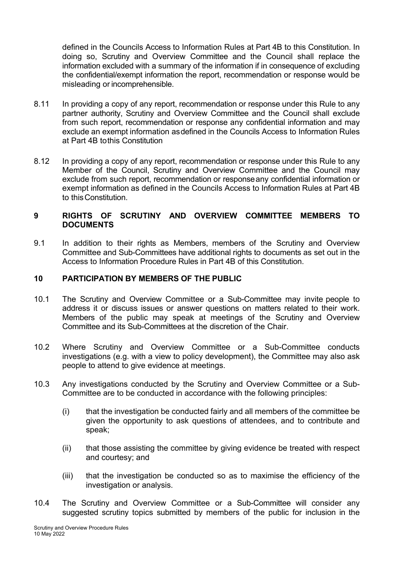defined in the Councils Access to Information Rules at Part 4B to this Constitution. In doing so, Scrutiny and Overview Committee and the Council shall replace the information excluded with a summary of the information if in consequence of excluding the confidential/exempt information the report, recommendation or response would be misleading or incomprehensible.

- 8.11 In providing a copy of any report, recommendation or response under this Rule to any partner authority, Scrutiny and Overview Committee and the Council shall exclude from such report, recommendation or response any confidential information and may exclude an exempt information asdefined in the Councils Access to Information Rules at Part 4B tothis Constitution
- 8.12 In providing a copy of any report, recommendation or response under this Rule to any Member of the Council, Scrutiny and Overview Committee and the Council may exclude from such report, recommendation or responseany confidential information or exempt information as defined in the Councils Access to Information Rules at Part 4B to thisConstitution.

#### **9 RIGHTS OF SCRUTINY AND OVERVIEW COMMITTEE MEMBERS TO DOCUMENTS**

9.1 In addition to their rights as Members, members of the Scrutiny and Overview Committee and Sub-Committees have additional rights to documents as set out in the Access to Information Procedure Rules in Part 4B of this Constitution.

## **10 PARTICIPATION BY MEMBERS OF THE PUBLIC**

- 10.1 The Scrutiny and Overview Committee or a Sub-Committee may invite people to address it or discuss issues or answer questions on matters related to their work. Members of the public may speak at meetings of the Scrutiny and Overview Committee and its Sub-Committees at the discretion of the Chair.
- 10.2 Where Scrutiny and Overview Committee or a Sub-Committee conducts investigations (e.g. with a view to policy development), the Committee may also ask people to attend to give evidence at meetings.
- 10.3 Any investigations conducted by the Scrutiny and Overview Committee or a Sub-Committee are to be conducted in accordance with the following principles:
	- (i) that the investigation be conducted fairly and all members of the committee be given the opportunity to ask questions of attendees, and to contribute and speak;
	- (ii) that those assisting the committee by giving evidence be treated with respect and courtesy; and
	- (iii) that the investigation be conducted so as to maximise the efficiency of the investigation or analysis.
- 10.4 The Scrutiny and Overview Committee or a Sub-Committee will consider any suggested scrutiny topics submitted by members of the public for inclusion in the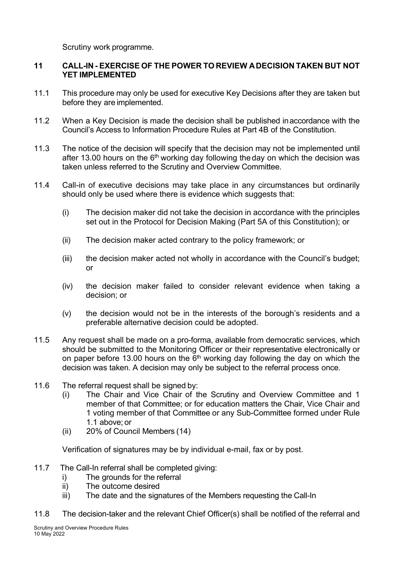Scrutiny work programme.

## **11 CALL-IN - EXERCISE OF THE POWER TO REVIEW ADECISION TAKEN BUT NOT YET IMPLEMENTED**

- 11.1 This procedure may only be used for executive Key Decisions after they are taken but before they are implemented.
- 11.2 When a Key Decision is made the decision shall be published inaccordance with the Council's Access to Information Procedure Rules at Part 4B of the Constitution.
- 11.3 The notice of the decision will specify that the decision may not be implemented until after 13.00 hours on the  $6<sup>th</sup>$  working day following the day on which the decision was taken unless referred to the Scrutiny and Overview Committee.
- 11.4 Call-in of executive decisions may take place in any circumstances but ordinarily should only be used where there is evidence which suggests that:
	- (i) The decision maker did not take the decision in accordance with the principles set out in the Protocol for Decision Making (Part 5A of this Constitution); or
	- (ii) The decision maker acted contrary to the policy framework; or
	- (iii) the decision maker acted not wholly in accordance with the Council's budget; or
	- (iv) the decision maker failed to consider relevant evidence when taking a decision; or
	- (v) the decision would not be in the interests of the borough's residents and a preferable alternative decision could be adopted.
- 11.5 Any request shall be made on a pro-forma, available from democratic services, which should be submitted to the Monitoring Officer or their representative electronically or on paper before 13.00 hours on the  $6<sup>th</sup>$  working day following the day on which the decision was taken. A decision may only be subject to the referral process once.
- 11.6 The referral request shall be signed by:
	- (i) The Chair and Vice Chair of the Scrutiny and Overview Committee and 1 member of that Committee; or for education matters the Chair, Vice Chair and 1 voting member of that Committee or any Sub-Committee formed under Rule 1.1 above; or
	- (ii) 20% of Council Members (14)

Verification of signatures may be by individual e-mail, fax or by post.

- 11.7 The Call-In referral shall be completed giving:
	- i) The grounds for the referral
	- ii) The outcome desired
	- iii) The date and the signatures of the Members requesting the Call-In
- 11.8 The decision-taker and the relevant Chief Officer(s) shall be notified of the referral and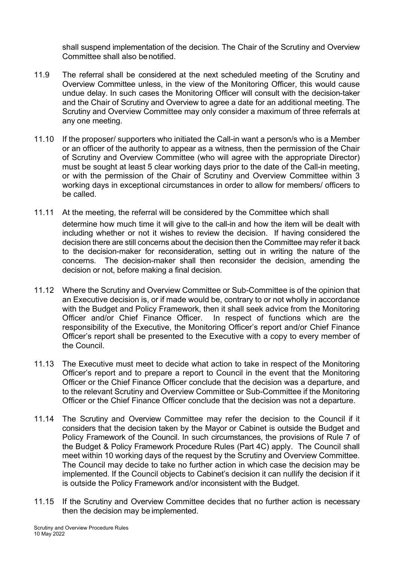shall suspend implementation of the decision. The Chair of the Scrutiny and Overview Committee shall also benotified.

- 11.9 The referral shall be considered at the next scheduled meeting of the Scrutiny and Overview Committee unless, in the view of the Monitoring Officer, this would cause undue delay. In such cases the Monitoring Officer will consult with the decision-taker and the Chair of Scrutiny and Overview to agree a date for an additional meeting. The Scrutiny and Overview Committee may only consider a maximum of three referrals at any one meeting.
- 11.10 If the proposer/ supporters who initiated the Call-in want a person/s who is a Member or an officer of the authority to appear as a witness, then the permission of the Chair of Scrutiny and Overview Committee (who will agree with the appropriate Director) must be sought at least 5 clear working days prior to the date of the Call-in meeting, or with the permission of the Chair of Scrutiny and Overview Committee within 3 working days in exceptional circumstances in order to allow for members/ officers to be called.
- 11.11 At the meeting, the referral will be considered by the Committee which shall determine how much time it will give to the call-in and how the item will be dealt with including whether or not it wishes to review the decision. If having considered the decision there are still concerns about the decision then the Committee may refer it back to the decision-maker for reconsideration, setting out in writing the nature of the concerns. The decision-maker shall then reconsider the decision, amending the decision or not, before making a final decision.
- 11.12 Where the Scrutiny and Overview Committee or Sub-Committee is of the opinion that an Executive decision is, or if made would be, contrary to or not wholly in accordance with the Budget and Policy Framework, then it shall seek advice from the Monitoring Officer and/or Chief Finance Officer. In respect of functions which are the responsibility of the Executive, the Monitoring Officer's report and/or Chief Finance Officer's report shall be presented to the Executive with a copy to every member of the Council.
- 11.13 The Executive must meet to decide what action to take in respect of the Monitoring Officer's report and to prepare a report to Council in the event that the Monitoring Officer or the Chief Finance Officer conclude that the decision was a departure, and to the relevant Scrutiny and Overview Committee or Sub-Committee if the Monitoring Officer or the Chief Finance Officer conclude that the decision was not a departure.
- 11.14 The Scrutiny and Overview Committee may refer the decision to the Council if it considers that the decision taken by the Mayor or Cabinet is outside the Budget and Policy Framework of the Council. In such circumstances, the provisions of Rule 7 of the Budget & Policy Framework Procedure Rules (Part 4C) apply. The Council shall meet within 10 working days of the request by the Scrutiny and Overview Committee. The Council may decide to take no further action in which case the decision may be implemented. If the Council objects to Cabinet's decision it can nullify the decision if it is outside the Policy Framework and/or inconsistent with the Budget.
- 11.15 If the Scrutiny and Overview Committee decides that no further action is necessary then the decision may be implemented.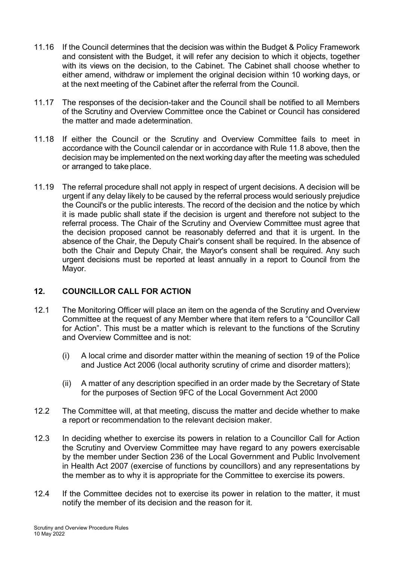- 11.16 If the Council determines that the decision was within the Budget & Policy Framework and consistent with the Budget, it will refer any decision to which it objects, together with its views on the decision, to the Cabinet. The Cabinet shall choose whether to either amend, withdraw or implement the original decision within 10 working days, or at the next meeting of the Cabinet after the referral from the Council.
- 11.17 The responses of the decision-taker and the Council shall be notified to all Members of the Scrutiny and Overview Committee once the Cabinet or Council has considered the matter and made adetermination.
- 11.18 If either the Council or the Scrutiny and Overview Committee fails to meet in accordance with the Council calendar or in accordance with Rule 11.8 above, then the decision may be implemented on the next working day after the meeting was scheduled or arranged to take place.
- 11.19 The referral procedure shall not apply in respect of urgent decisions. A decision will be urgent if any delay likely to be caused by the referral process would seriously prejudice the Council's or the public interests. The record of the decision and the notice by which it is made public shall state if the decision is urgent and therefore not subject to the referral process. The Chair of the Scrutiny and Overview Committee must agree that the decision proposed cannot be reasonably deferred and that it is urgent. In the absence of the Chair, the Deputy Chair's consent shall be required. In the absence of both the Chair and Deputy Chair, the Mayor's consent shall be required. Any such urgent decisions must be reported at least annually in a report to Council from the Mayor.

## **12. COUNCILLOR CALL FOR ACTION**

- 12.1 The Monitoring Officer will place an item on the agenda of the Scrutiny and Overview Committee at the request of any Member where that item refers to a "Councillor Call for Action". This must be a matter which is relevant to the functions of the Scrutiny and Overview Committee and is not:
	- (i) A local crime and disorder matter within the meaning of section 19 of the Police and Justice Act 2006 (local authority scrutiny of crime and disorder matters);
	- (ii) A matter of any description specified in an order made by the Secretary of State for the purposes of Section 9FC of the Local Government Act 2000
- 12.2 The Committee will, at that meeting, discuss the matter and decide whether to make a report or recommendation to the relevant decision maker.
- 12.3 In deciding whether to exercise its powers in relation to a Councillor Call for Action the Scrutiny and Overview Committee may have regard to any powers exercisable by the member under Section 236 of the Local Government and Public Involvement in Health Act 2007 (exercise of functions by councillors) and any representations by the member as to why it is appropriate for the Committee to exercise its powers.
- 12.4 If the Committee decides not to exercise its power in relation to the matter, it must notify the member of its decision and the reason for it.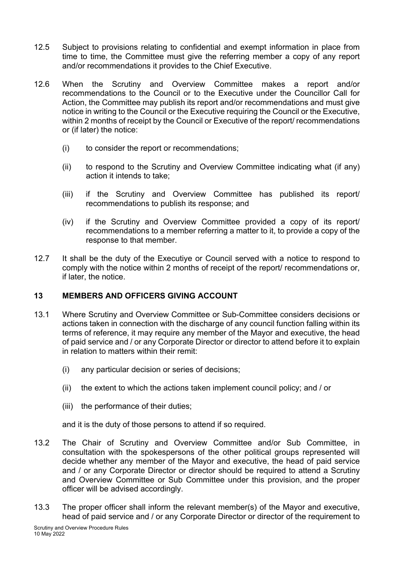- 12.5 Subject to provisions relating to confidential and exempt information in place from time to time, the Committee must give the referring member a copy of any report and/or recommendations it provides to the Chief Executive.
- 12.6 When the Scrutiny and Overview Committee makes a report and/or recommendations to the Council or to the Executive under the Councillor Call for Action, the Committee may publish its report and/or recommendations and must give notice in writing to the Council or the Executive requiring the Council or the Executive, within 2 months of receipt by the Council or Executive of the report/ recommendations or (if later) the notice:
	- (i) to consider the report or recommendations;
	- (ii) to respond to the Scrutiny and Overview Committee indicating what (if any) action it intends to take;
	- (iii) if the Scrutiny and Overview Committee has published its report/ recommendations to publish its response; and
	- (iv) if the Scrutiny and Overview Committee provided a copy of its report/ recommendations to a member referring a matter to it, to provide a copy of the response to that member.
- 12.7 It shall be the duty of the Executiye or Council served with a notice to respond to comply with the notice within 2 months of receipt of the report/ recommendations or, if later, the notice.

## **13 MEMBERS AND OFFICERS GIVING ACCOUNT**

- 13.1 Where Scrutiny and Overview Committee or Sub-Committee considers decisions or actions taken in connection with the discharge of any council function falling within its terms of reference, it may require any member of the Mayor and executive, the head of paid service and / or any Corporate Director or director to attend before it to explain in relation to matters within their remit:
	- (i) any particular decision or series of decisions;
	- (ii) the extent to which the actions taken implement council policy; and / or
	- (iii) the performance of their duties;

and it is the duty of those persons to attend if so required.

- 13.2 The Chair of Scrutiny and Overview Committee and/or Sub Committee, in consultation with the spokespersons of the other political groups represented will decide whether any member of the Mayor and executive, the head of paid service and / or any Corporate Director or director should be required to attend a Scrutiny and Overview Committee or Sub Committee under this provision, and the proper officer will be advised accordingly.
- 13.3 The proper officer shall inform the relevant member(s) of the Mayor and executive, head of paid service and / or any Corporate Director or director of the requirement to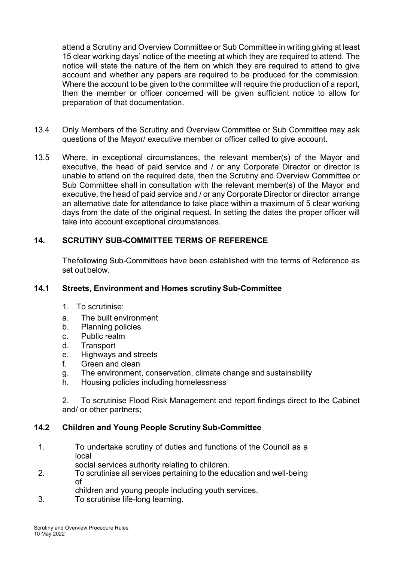attend a Scrutiny and Overview Committee or Sub Committee in writing giving at least 15 clear working days' notice of the meeting at which they are required to attend. The notice will state the nature of the item on which they are required to attend to give account and whether any papers are required to be produced for the commission. Where the account to be given to the committee will require the production of a report, then the member or officer concerned will be given sufficient notice to allow for preparation of that documentation.

- 13.4 Only Members of the Scrutiny and Overview Committee or Sub Committee may ask questions of the Mayor/ executive member or officer called to give account.
- 13.5 Where, in exceptional circumstances, the relevant member(s) of the Mayor and executive, the head of paid service and / or any Corporate Director or director is unable to attend on the required date, then the Scrutiny and Overview Committee or Sub Committee shall in consultation with the relevant member(s) of the Mayor and executive, the head of paid service and / or any Corporate Director or director arrange an alternative date for attendance to take place within a maximum of 5 clear working days from the date of the original request. In setting the dates the proper officer will take into account exceptional circumstances.

# **14. SCRUTINY SUB-COMMITTEE TERMS OF REFERENCE**

Thefollowing Sub-Committees have been established with the terms of Reference as set out below.

#### **14.1 Streets, Environment and Homes scrutiny Sub-Committee**

- 1. To scrutinise:
- a. The built environment
- b. Planning policies
- c. Public realm
- d. Transport
- e. Highways and streets
- f. Green and clean
- g. The environment, conservation, climate change and sustainability
- h. Housing policies including homelessness

2. To scrutinise Flood Risk Management and report findings direct to the Cabinet and/ or other partners;

## **14.2 Children and Young People Scrutiny Sub-Committee**

- 1. To undertake scrutiny of duties and functions of the Council as a local
	- social services authority relating to children.
- 2. To scrutinise all services pertaining to the education and well-being of
- children and young people including youth services.
- 3. To scrutinise life-long learning.